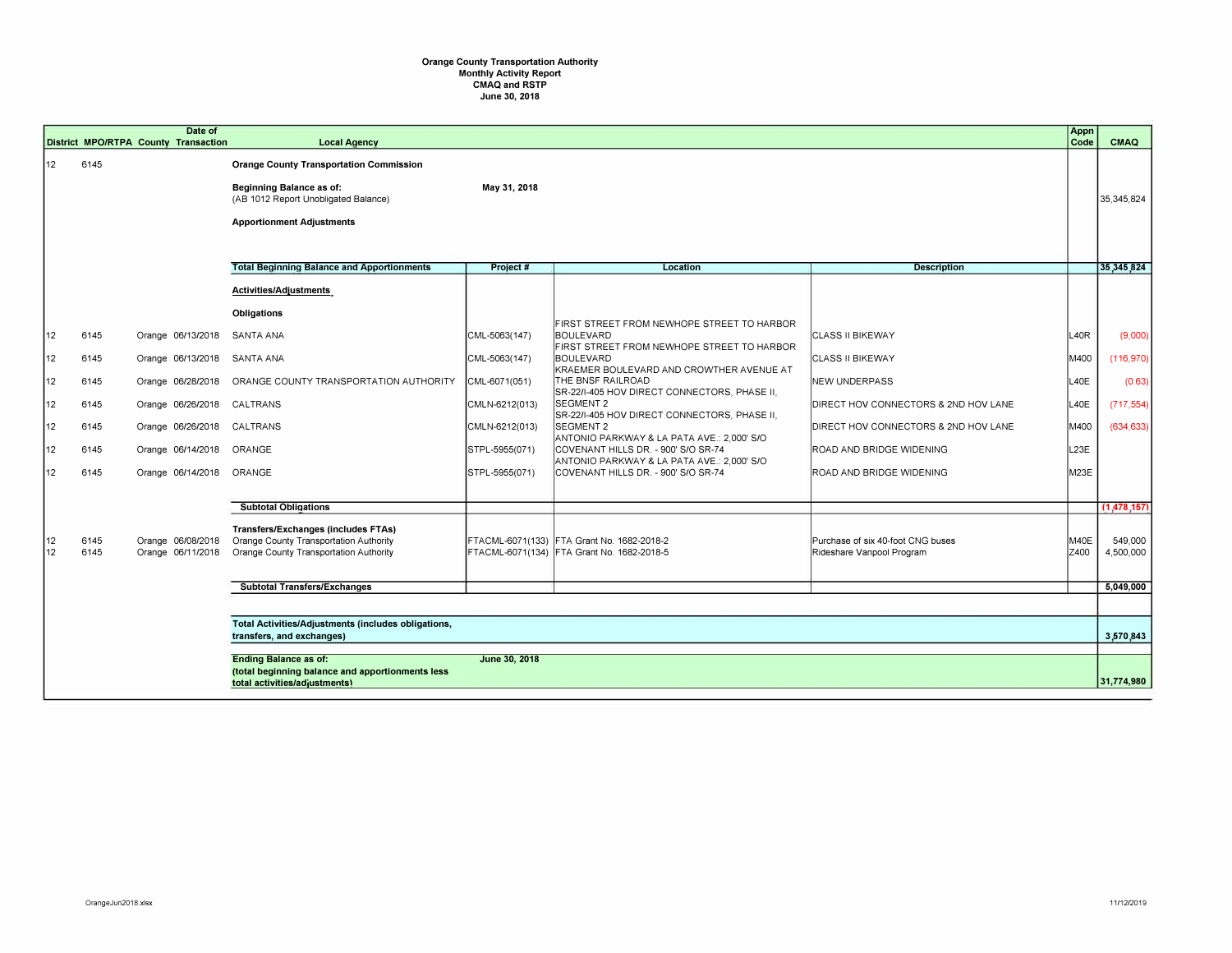## **Orange County Transportation Authority Monthly Activity Report CMAQ and RSTP June 30, 2018**

|                        |              | District MPO/RTPA County Transaction   | <b>Local Agency</b>                                                                                                            |                |                                                                                                               |                                                                | Appn<br>Code | CMAQ                 |
|------------------------|--------------|----------------------------------------|--------------------------------------------------------------------------------------------------------------------------------|----------------|---------------------------------------------------------------------------------------------------------------|----------------------------------------------------------------|--------------|----------------------|
| 12 <sup>°</sup>        | 6145         |                                        | <b>Orange County Transportation Commission</b><br><b>Beginning Balance as of:</b><br>(AB 1012 Report Unobligated Balance)      | May 31, 2018   |                                                                                                               |                                                                |              | 35,345,824           |
|                        |              |                                        | <b>Apportionment Adjustments</b>                                                                                               |                |                                                                                                               |                                                                |              |                      |
|                        |              |                                        | <b>Total Beginning Balance and Apportionments</b>                                                                              | Project#       | Location                                                                                                      | <b>Description</b>                                             |              | 35,345,824           |
|                        |              |                                        | Activities/Adjustments                                                                                                         |                |                                                                                                               |                                                                |              |                      |
|                        |              |                                        | Obligations                                                                                                                    |                |                                                                                                               |                                                                |              |                      |
| 12                     | 6145         | Orange 06/13/2018                      | SANTA ANA                                                                                                                      | CML-5063(147)  | FIRST STREET FROM NEWHOPE STREET TO HARBOR<br>BOULEVARD<br>FIRST STREET FROM NEWHOPE STREET TO HARBOR         | <b>ICLASS II BIKEWAY</b>                                       | L40R         | (9,000)              |
| 12                     | 6145         | Orange 06/13/2018                      | SANTA ANA                                                                                                                      | CML-5063(147)  | BOULEVARD                                                                                                     | <b>CLASS II BIKEWAY</b>                                        | M400         | (116, 970)           |
| 12                     | 6145         | Orange 06/28/2018                      | ORANGE COUNTY TRANSPORTATION AUTHORITY                                                                                         | CML-6071(051)  | KRAEMER BOULEVARD AND CROWTHER AVENUE AT<br>THE BNSF RAILROAD<br>SR-22/I-405 HOV DIRECT CONNECTORS, PHASE II, | NEW UNDERPASS                                                  | L40E         | (0.63)               |
| 12                     | 6145         | Orange 06/26/2018                      | CALTRANS                                                                                                                       | CMLN-6212(013) | <b>SEGMENT 2</b><br>SR-22/I-405 HOV DIRECT CONNECTORS, PHASE II,                                              | DIRECT HOV CONNECTORS & 2ND HOV LANE                           | L40E         | (717, 554)           |
| 12                     | 6145         | Orange 06/26/2018                      | CALTRANS                                                                                                                       | CMLN-6212(013) | <b>SEGMENT 2</b><br>ANTONIO PARKWAY & LA PATA AVE.: 2,000' S/O                                                | DIRECT HOV CONNECTORS & 2ND HOV LANE                           | M400         | (634, 633)           |
| 12                     | 6145         | Orange 06/14/2018                      | ORANGE                                                                                                                         | STPL-5955(071) | COVENANT HILLS DR. - 900' S/O SR-74<br>ANTONIO PARKWAY & LA PATA AVE.: 2,000' S/O                             | ROAD AND BRIDGE WIDENING                                       | L23E         |                      |
| 12                     | 6145         | Orange 06/14/2018                      | ORANGE                                                                                                                         | STPL-5955(071) | COVENANT HILLS DR. - 900' S/O SR-74                                                                           | ROAD AND BRIDGE WIDENING                                       | M23E         |                      |
|                        |              |                                        |                                                                                                                                |                |                                                                                                               |                                                                |              | (1.478.157)          |
|                        |              |                                        | <b>Subtotal Obligations</b>                                                                                                    |                |                                                                                                               |                                                                |              |                      |
| 12<br>12 <sup>12</sup> | 6145<br>6145 | Orange 06/08/2018<br>Orange 06/11/2018 | <b>Transfers/Exchanges (includes FTAs)</b><br>Orange County Transportation Authority<br>Orange County Transportation Authority |                | FTACML-6071(133) FTA Grant No. 1682-2018-2<br>FTACML-6071(134) FTA Grant No. 1682-2018-5                      | Purchase of six 40-foot CNG buses<br>Rideshare Vanpool Program | M40E<br>Z400 | 549,000<br>4,500,000 |
|                        |              |                                        | <b>Subtotal Transfers/Exchanges</b>                                                                                            |                |                                                                                                               |                                                                |              | 5,049,000            |
|                        |              |                                        |                                                                                                                                |                |                                                                                                               |                                                                |              |                      |
|                        |              |                                        | Total Activities/Adjustments (includes obligations,                                                                            |                |                                                                                                               |                                                                |              |                      |
|                        |              |                                        | transfers, and exchanges)                                                                                                      |                |                                                                                                               |                                                                |              | 3,570,843            |
|                        |              |                                        | <b>Ending Balance as of:</b>                                                                                                   | June 30, 2018  |                                                                                                               |                                                                |              |                      |
|                        |              |                                        | (total beginning balance and apportionments less<br>total activities/adjustments)                                              |                |                                                                                                               |                                                                |              | 31.774.980           |